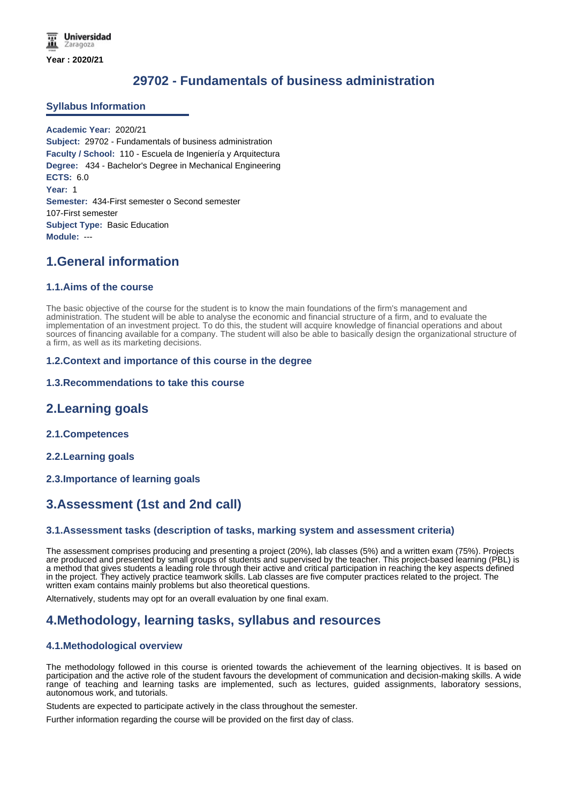# **29702 - Fundamentals of business administration**

#### **Syllabus Information**

**Academic Year:** 2020/21 **Subject:** 29702 - Fundamentals of business administration **Faculty / School:** 110 - Escuela de Ingeniería y Arquitectura **Degree:** 434 - Bachelor's Degree in Mechanical Engineering **ECTS:** 6.0 **Year:** 1 **Semester:** 434-First semester o Second semester 107-First semester **Subject Type:** Basic Education **Module:** ---

## **1.General information**

#### **1.1.Aims of the course**

The basic objective of the course for the student is to know the main foundations of the firm's management and administration. The student will be able to analyse the economic and financial structure of a firm, and to evaluate the implementation of an investment project. To do this, the student will acquire knowledge of financial operations and about sources of financing available for a company. The student will also be able to basically design the organizational structure of a firm, as well as its marketing decisions.

#### **1.2.Context and importance of this course in the degree**

#### **1.3.Recommendations to take this course**

### **2.Learning goals**

- **2.1.Competences**
- **2.2.Learning goals**
- **2.3.Importance of learning goals**

## **3.Assessment (1st and 2nd call)**

#### **3.1.Assessment tasks (description of tasks, marking system and assessment criteria)**

The assessment comprises producing and presenting a project (20%), lab classes (5%) and a written exam (75%). Projects are produced and presented by small groups of students and supervised by the teacher. This project-based learning (PBL) is a method that gives students a leading role through their active and critical participation in reaching the key aspects defined in the project. They actively practice teamwork skills. Lab classes are five computer practices related to the project. The written exam contains mainly problems but also theoretical questions.

Alternatively, students may opt for an overall evaluation by one final exam.

### **4.Methodology, learning tasks, syllabus and resources**

#### **4.1.Methodological overview**

The methodology followed in this course is oriented towards the achievement of the learning objectives. It is based on participation and the active role of the student favours the development of communication and decision-making skills. A wide range of teaching and learning tasks are implemented, such as lectures, guided assignments, laboratory sessions, autonomous work, and tutorials.

Students are expected to participate actively in the class throughout the semester.

Further information regarding the course will be provided on the first day of class.